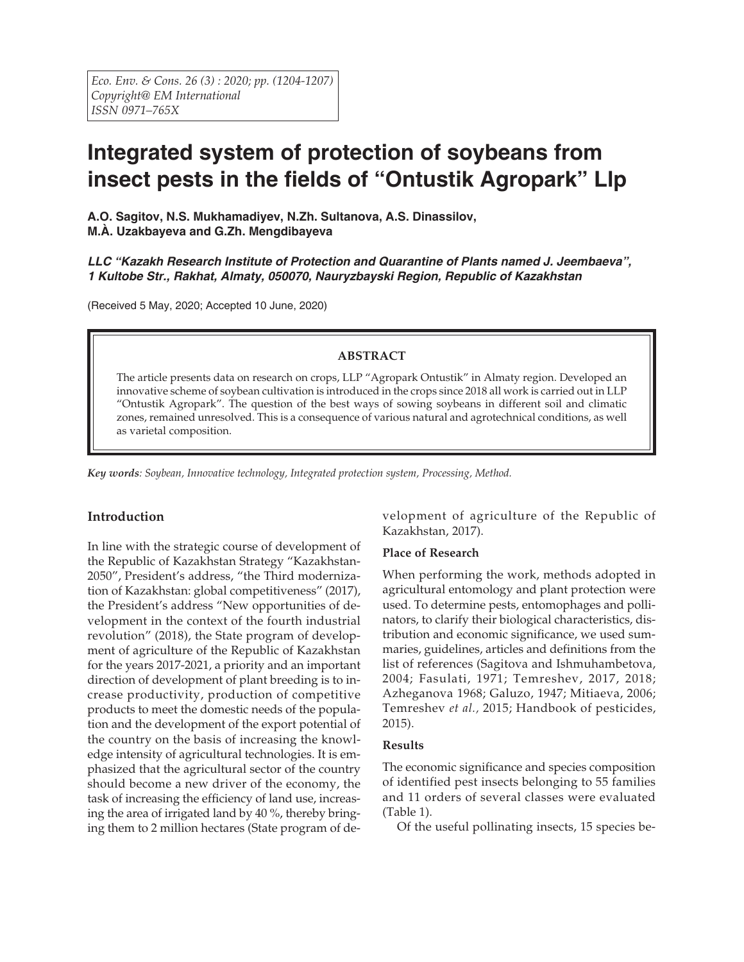# **Integrated system of protection of soybeans from insect pests in the fields of "Ontustik Agropark" Llp**

**A.O. Sagitov, N.S. Mukhamadiyev, N.Zh. Sultanova, A.S. Dinassilov, M.À. Uzakbayeva and G.Zh. Mengdibayeva**

*LLC "Kazakh Research Institute of Protection and Quarantine of Plants named J. Jeembaeva", 1 Kultobe Str., Rakhat, Almaty, 050070, Nauryzbayski Region, Republic of Kazakhstan*

(Received 5 May, 2020; Accepted 10 June, 2020)

### **ABSTRACT**

The article presents data on research on crops, LLP "Agropark Ontustik" in Almaty region. Developed an innovative scheme of soybean cultivation is introduced in the crops since 2018 all work is carried out in LLP "Ontustik Agropark". The question of the best ways of sowing soybeans in different soil and climatic zones, remained unresolved. This is a consequence of various natural and agrotechnical conditions, as well as varietal composition.

*Key words: Soybean, Innovative technology, Integrated protection system, Processing, Method.*

### **Introduction**

In line with the strategic course of development of the Republic of Kazakhstan Strategy "Kazakhstan-2050", President's address, "the Third modernization of Kazakhstan: global competitiveness" (2017), the President's address "New opportunities of development in the context of the fourth industrial revolution" (2018), the State program of development of agriculture of the Republic of Kazakhstan for the years 2017-2021, a priority and an important direction of development of plant breeding is to increase productivity, production of competitive products to meet the domestic needs of the population and the development of the export potential of the country on the basis of increasing the knowledge intensity of agricultural technologies. It is emphasized that the agricultural sector of the country should become a new driver of the economy, the task of increasing the efficiency of land use, increasing the area of irrigated land by 40 %, thereby bringing them to 2 million hectares (State program of development of agriculture of the Republic of Kazakhstan, 2017).

### **Place of Research**

When performing the work, methods adopted in agricultural entomology and plant protection were used. To determine pests, entomophages and pollinators, to clarify their biological characteristics, distribution and economic significance, we used summaries, guidelines, articles and definitions from the list of references (Sagitova and Ishmuhambetova, 2004; Fasulati, 1971; Temreshev, 2017, 2018; Azheganova 1968; Galuzo, 1947; Mitiaeva, 2006; Temreshev *et al.,* 2015; Handbook of pesticides, 2015).

### **Results**

The economic significance and species composition of identified pest insects belonging to 55 families and 11 orders of several classes were evaluated (Table 1).

Of the useful pollinating insects, 15 species be-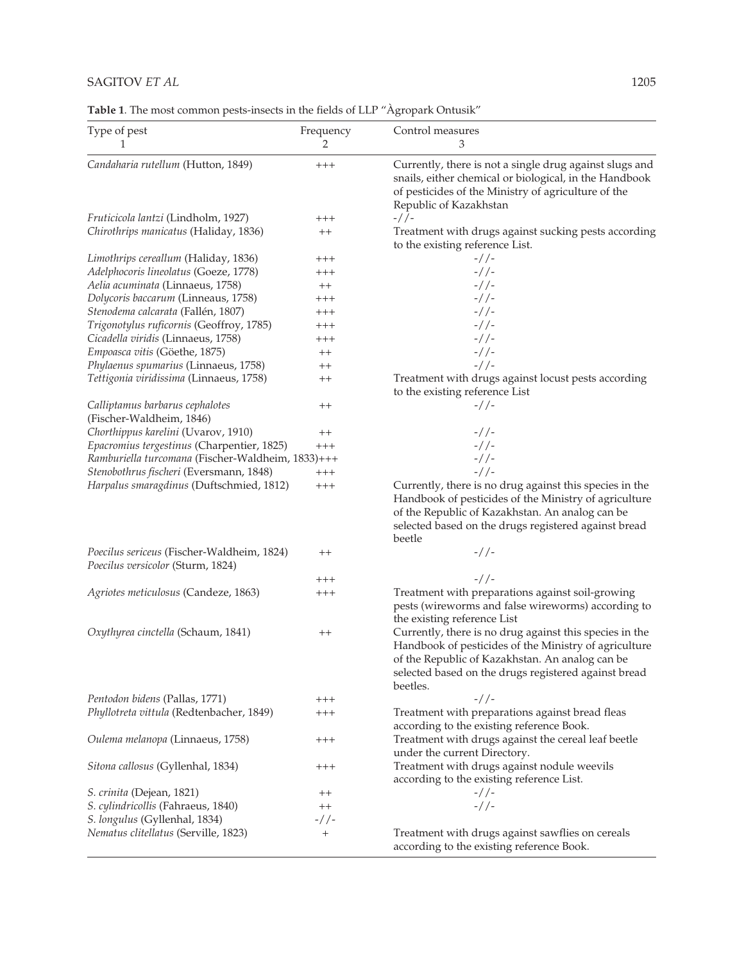## SAGITOV *ET AL* 1205

**Table 1**. The most common pests-insects in the fields of LLP "Àgropark Ontusik"

| Type of pest<br>T.                                          | Frequency<br>2 | Control measures<br>3                                                                                                                                                                                                                   |  |  |  |  |
|-------------------------------------------------------------|----------------|-----------------------------------------------------------------------------------------------------------------------------------------------------------------------------------------------------------------------------------------|--|--|--|--|
| Candaharia rutellum (Hutton, 1849)                          | $++++$         | Currently, there is not a single drug against slugs and<br>snails, either chemical or biological, in the Handbook<br>of pesticides of the Ministry of agriculture of the<br>Republic of Kazakhstan                                      |  |  |  |  |
| Fruticicola lantzi (Lindholm, 1927)                         | $^{+++}$       | $-$ / / –                                                                                                                                                                                                                               |  |  |  |  |
| Chirothrips manicatus (Haliday, 1836)                       | $^{++}$        | Treatment with drugs against sucking pests according<br>to the existing reference List.                                                                                                                                                 |  |  |  |  |
| Limothrips cereallum (Haliday, 1836)                        | $^{+++}$       | $-$ //-                                                                                                                                                                                                                                 |  |  |  |  |
| Adelphocoris lineolatus (Goeze, 1778)                       | $^{+++}$       | $-$ //-                                                                                                                                                                                                                                 |  |  |  |  |
| Aelia acuminata (Linnaeus, 1758)                            | $++$           | $-$ //-                                                                                                                                                                                                                                 |  |  |  |  |
| Dolycoris baccarum (Linneaus, 1758)                         | $^{+++}$       | $-$ //-                                                                                                                                                                                                                                 |  |  |  |  |
| Stenodema calcarata (Fallén, 1807)                          | $^{+++}$       | $-$ / / –                                                                                                                                                                                                                               |  |  |  |  |
| Trigonotylus ruficornis (Geoffroy, 1785)                    | $^{+++}$       | $-$ //-                                                                                                                                                                                                                                 |  |  |  |  |
| Cicadella viridis (Linnaeus, 1758)                          | $^{+++}$       | $-$ //-                                                                                                                                                                                                                                 |  |  |  |  |
| Empoasca vitis (Göethe, 1875)                               | $^{++}$        | $-$ //-                                                                                                                                                                                                                                 |  |  |  |  |
| Phylaenus spumarius (Linnaeus, 1758)                        | $^{++}$        | $-$ / / –                                                                                                                                                                                                                               |  |  |  |  |
| Tettigonia viridissima (Linnaeus, 1758)                     | $^{++}$        | Treatment with drugs against locust pests according<br>to the existing reference List                                                                                                                                                   |  |  |  |  |
| Calliptamus barbarus cephalotes<br>(Fischer-Waldheim, 1846) | $^{++}$        | $-$ / / –                                                                                                                                                                                                                               |  |  |  |  |
| Chorthippus karelini (Uvarov, 1910)                         | $^{++}$        | $-$ //-                                                                                                                                                                                                                                 |  |  |  |  |
| Epacromius tergestinus (Charpentier, 1825)                  | $^{+++}$       | $-$ //-                                                                                                                                                                                                                                 |  |  |  |  |
| Ramburiella turcomana (Fischer-Waldheim, 1833)+++           |                | $-$ //-                                                                                                                                                                                                                                 |  |  |  |  |
| Stenobothrus fischeri (Eversmann, 1848)                     | $++++$         | $-$ //-                                                                                                                                                                                                                                 |  |  |  |  |
| Harpalus smaragdinus (Duftschmied, 1812)                    | $^{+++}$       | Currently, there is no drug against this species in the<br>Handbook of pesticides of the Ministry of agriculture<br>of the Republic of Kazakhstan. An analog can be<br>selected based on the drugs registered against bread<br>beetle   |  |  |  |  |
| Poecilus sericeus (Fischer-Waldheim, 1824)                  | $^{++}$        | $-$ / / –                                                                                                                                                                                                                               |  |  |  |  |
| Poecilus versicolor (Sturm, 1824)                           |                | $-$ //-                                                                                                                                                                                                                                 |  |  |  |  |
|                                                             | $^{+++}$       |                                                                                                                                                                                                                                         |  |  |  |  |
| Agriotes meticulosus (Candeze, 1863)                        | $^{+++}$       | Treatment with preparations against soil-growing<br>pests (wireworms and false wireworms) according to<br>the existing reference List                                                                                                   |  |  |  |  |
| Oxythyrea cinctella (Schaum, 1841)                          | $^{++}$        | Currently, there is no drug against this species in the<br>Handbook of pesticides of the Ministry of agriculture<br>of the Republic of Kazakhstan. An analog can be<br>selected based on the drugs registered against bread<br>beetles. |  |  |  |  |
| Pentodon bidens (Pallas, 1771)                              | $^{+++}$       | $-$ //-                                                                                                                                                                                                                                 |  |  |  |  |
| Phyllotreta vittula (Redtenbacher, 1849)                    | $^{+++}$       | Treatment with preparations against bread fleas<br>according to the existing reference Book.                                                                                                                                            |  |  |  |  |
| Oulema melanopa (Linnaeus, 1758)                            | $^{+++}$       | Treatment with drugs against the cereal leaf beetle<br>under the current Directory.                                                                                                                                                     |  |  |  |  |
| Sitona callosus (Gyllenhal, 1834)                           | $^{+++}$       | Treatment with drugs against nodule weevils<br>according to the existing reference List.                                                                                                                                                |  |  |  |  |
| S. crinita (Dejean, 1821)                                   | $^{++}$        | $-$ //-                                                                                                                                                                                                                                 |  |  |  |  |
| S. cylindricollis (Fahraeus, 1840)                          | $^{++}$        | $-$ //-                                                                                                                                                                                                                                 |  |  |  |  |
| S. longulus (Gyllenhal, 1834)                               | -//-           |                                                                                                                                                                                                                                         |  |  |  |  |
| Nematus clitellatus (Serville, 1823)                        | $^{+}$         | Treatment with drugs against sawflies on cereals<br>according to the existing reference Book.                                                                                                                                           |  |  |  |  |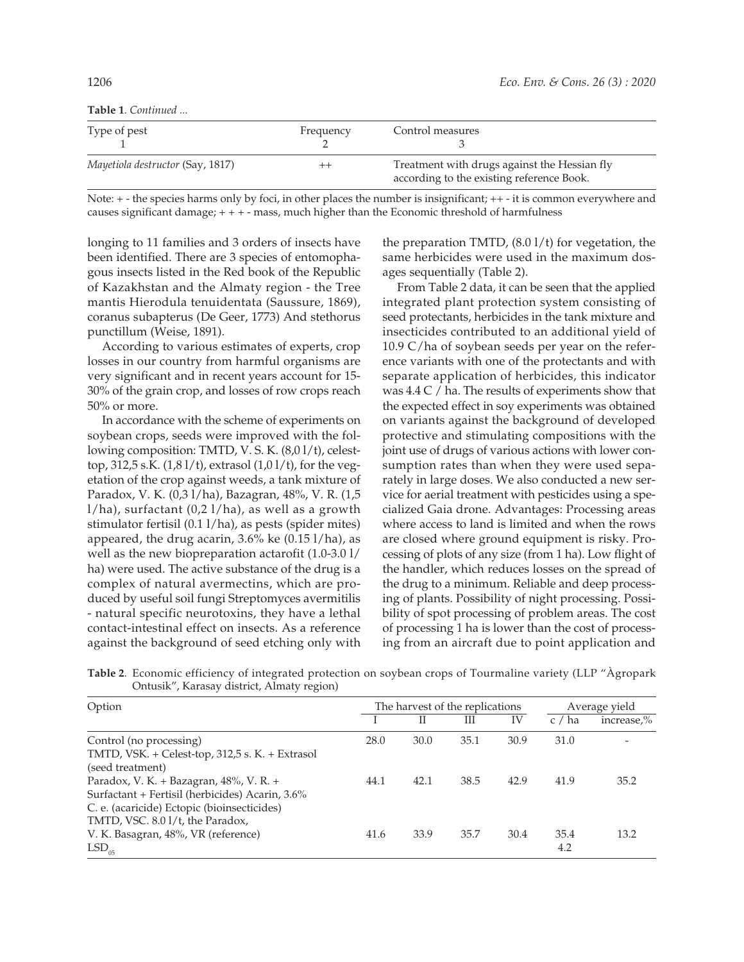|  |  |  | <b>Table 1</b> . Continued |  |
|--|--|--|----------------------------|--|
|--|--|--|----------------------------|--|

| Type of pest                     | Frequency | Control measures                                                                          |
|----------------------------------|-----------|-------------------------------------------------------------------------------------------|
| Mayetiola destructor (Say, 1817) |           | Treatment with drugs against the Hessian fly<br>according to the existing reference Book. |

Note:  $+$  - the species harms only by foci, in other places the number is insignificant;  $++$  - it is common everywhere and causes significant damage; + + + - mass, much higher than the Economic threshold of harmfulness

longing to 11 families and 3 orders of insects have been identified. There are 3 species of entomophagous insects listed in the Red book of the Republic of Kazakhstan and the Almaty region - the Tree mantis Hierodula tenuidentata (Saussure, 1869), coranus subapterus (De Geer, 1773) And stethorus punctillum (Weise, 1891).

According to various estimates of experts, crop losses in our country from harmful organisms are very significant and in recent years account for 15- 30% of the grain crop, and losses of row crops reach 50% or more.

In accordance with the scheme of experiments on soybean crops, seeds were improved with the following composition: TMTD, V. S. K. (8,0 l/t), celesttop, 312,5 s.K.  $(1,81/t)$ , extrasol  $(1,01/t)$ , for the vegetation of the crop against weeds, a tank mixture of Paradox, V. K. (0,3 l/ha), Bazagran, 48%, V. R. (1,5 l/ha), surfactant (0,2 l/ha), as well as a growth stimulator fertisil (0.1 l/ha), as pests (spider mites) appeared, the drug acarin,  $3.6\%$  ke (0.15 l/ha), as well as the new biopreparation actarofit (1.0-3.0 l/ ha) were used. The active substance of the drug is a complex of natural avermectins, which are produced by useful soil fungi Streptomyces avermitilis - natural specific neurotoxins, they have a lethal contact-intestinal effect on insects. As a reference against the background of seed etching only with

the preparation TMTD, (8.0 l/t) for vegetation, the same herbicides were used in the maximum dosages sequentially (Table 2).

From Table 2 data, it can be seen that the applied integrated plant protection system consisting of seed protectants, herbicides in the tank mixture and insecticides contributed to an additional yield of 10.9 C/ha of soybean seeds per year on the reference variants with one of the protectants and with separate application of herbicides, this indicator was 4.4 C / ha. The results of experiments show that the expected effect in soy experiments was obtained on variants against the background of developed protective and stimulating compositions with the joint use of drugs of various actions with lower consumption rates than when they were used separately in large doses. We also conducted a new service for aerial treatment with pesticides using a specialized Gaia drone. Advantages: Processing areas where access to land is limited and when the rows are closed where ground equipment is risky. Processing of plots of any size (from 1 ha). Low flight of the handler, which reduces losses on the spread of the drug to a minimum. Reliable and deep processing of plants. Possibility of night processing. Possibility of spot processing of problem areas. The cost of processing 1 ha is lower than the cost of processing from an aircraft due to point application and

**Table 2**. Economic efficiency of integrated protection on soybean crops of Tourmaline variety (LLP "Àgropark Ontusik", Karasay district, Almaty region)

| Option                                                                                                                                                                       | The harvest of the replications |      |      |      |             | Average yield |  |
|------------------------------------------------------------------------------------------------------------------------------------------------------------------------------|---------------------------------|------|------|------|-------------|---------------|--|
|                                                                                                                                                                              |                                 | П    | Ш    | IV   | c / ha      | increase,%    |  |
| Control (no processing)<br>TMTD, VSK. + Celest-top, 312,5 s. K. + Extrasol<br>(seed treatment)                                                                               | 28.0                            | 30.0 | 35.1 | 30.9 | 31.0        |               |  |
| Paradox, V. K. + Bazagran, 48%, V. R. +<br>Surfactant + Fertisil (herbicides) Acarin, 3.6%<br>C. e. (acaricide) Ectopic (bioinsecticides)<br>TMTD, VSC. 8.01/t, the Paradox, | 44.1                            | 42.1 | 38.5 | 42.9 | 41.9        | 35.2          |  |
| V. K. Basagran, 48%, VR (reference)<br>$LSD_{05}$                                                                                                                            | 41.6                            | 33.9 | 35.7 | 30.4 | 35.4<br>4.2 | 13.2          |  |